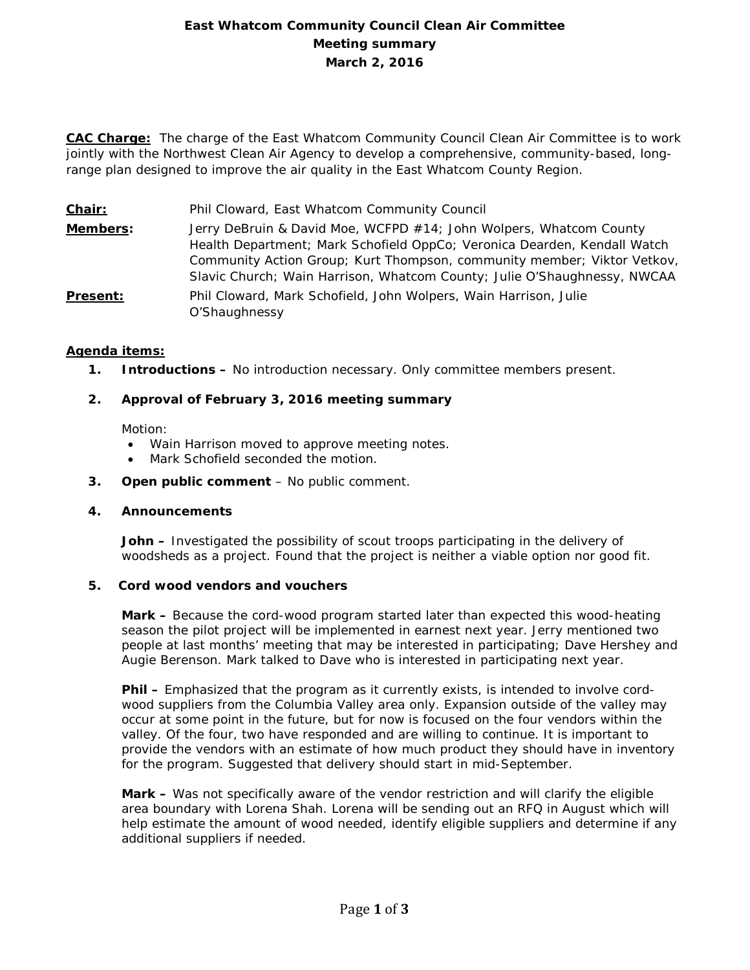# **East Whatcom Community Council Clean Air Committee Meeting summary March 2, 2016**

**CAC Charge:** The charge of the East Whatcom Community Council Clean Air Committee is to work jointly with the Northwest Clean Air Agency to develop a comprehensive, community-based, longrange plan designed to improve the air quality in the East Whatcom County Region.

**Chair:** Phil Cloward, East Whatcom Community Council

**Members:** Jerry DeBruin & David Moe, WCFPD #14; John Wolpers, Whatcom County Health Department; Mark Schofield OppCo; Veronica Dearden, Kendall Watch Community Action Group; Kurt Thompson, community member; Viktor Vetkov, Slavic Church; Wain Harrison, Whatcom County; Julie O'Shaughnessy, NWCAA **Present:** Phil Cloward, Mark Schofield, John Wolpers, Wain Harrison, Julie O'Shaughnessy

## **Agenda items:**

**1. Introductions –** No introduction necessary. Only committee members present.

# **2. Approval of February 3, 2016 meeting summary**

Motion:

- Wain Harrison moved to approve meeting notes.
- Mark Schofield seconded the motion.
- **3. Open public comment**  No public comment.

## **4. Announcements**

**John –** Investigated the possibility of scout troops participating in the delivery of woodsheds as a project. Found that the project is neither a viable option nor good fit.

## **5. Cord wood vendors and vouchers**

**Mark –** Because the cord-wood program started later than expected this wood-heating season the pilot project will be implemented in earnest next year. Jerry mentioned two people at last months' meeting that may be interested in participating; Dave Hershey and Augie Berenson. Mark talked to Dave who is interested in participating next year.

**Phil –** Emphasized that the program as it currently exists, is intended to involve cordwood suppliers from the Columbia Valley area only. Expansion outside of the valley may occur at some point in the future, but for now is focused on the four vendors within the valley. Of the four, two have responded and are willing to continue. It is important to provide the vendors with an estimate of how much product they should have in inventory for the program. Suggested that delivery should start in mid-September.

**Mark –** Was not specifically aware of the vendor restriction and will clarify the eligible area boundary with Lorena Shah. Lorena will be sending out an RFQ in August which will help estimate the amount of wood needed, identify eligible suppliers and determine if any additional suppliers if needed.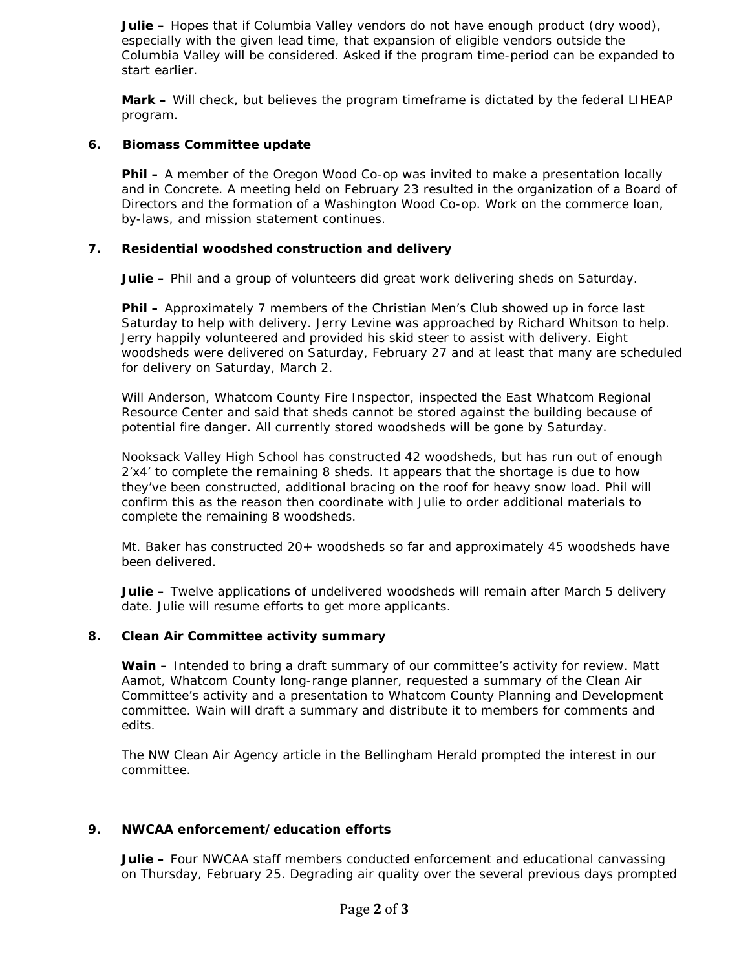**Julie –** Hopes that if Columbia Valley vendors do not have enough product (dry wood), especially with the given lead time, that expansion of eligible vendors outside the Columbia Valley will be considered. Asked if the program time-period can be expanded to start earlier.

**Mark –** Will check, but believes the program timeframe is dictated by the federal LIHEAP program.

## **6. Biomass Committee update**

**Phil –** A member of the Oregon Wood Co-op was invited to make a presentation locally and in Concrete. A meeting held on February 23 resulted in the organization of a Board of Directors and the formation of a Washington Wood Co-op. Work on the commerce loan, by-laws, and mission statement continues.

#### **7. Residential woodshed construction and delivery**

**Julie –** Phil and a group of volunteers did great work delivering sheds on Saturday.

**Phil –** Approximately 7 members of the Christian Men's Club showed up in force last Saturday to help with delivery. Jerry Levine was approached by Richard Whitson to help. Jerry happily volunteered and provided his skid steer to assist with delivery. Eight woodsheds were delivered on Saturday, February 27 and at least that many are scheduled for delivery on Saturday, March 2.

Will Anderson, Whatcom County Fire Inspector, inspected the East Whatcom Regional Resource Center and said that sheds cannot be stored against the building because of potential fire danger. All currently stored woodsheds will be gone by Saturday.

Nooksack Valley High School has constructed 42 woodsheds, but has run out of enough 2'x4' to complete the remaining 8 sheds. It appears that the shortage is due to how they've been constructed, additional bracing on the roof for heavy snow load. Phil will confirm this as the reason then coordinate with Julie to order additional materials to complete the remaining 8 woodsheds.

Mt. Baker has constructed 20+ woodsheds so far and approximately 45 woodsheds have been delivered.

**Julie –** Twelve applications of undelivered woodsheds will remain after March 5 delivery date. Julie will resume efforts to get more applicants.

#### **8. Clean Air Committee activity summary**

**Wain –** Intended to bring a draft summary of our committee's activity for review. Matt Aamot, Whatcom County long-range planner, requested a summary of the Clean Air Committee's activity and a presentation to Whatcom County Planning and Development committee. Wain will draft a summary and distribute it to members for comments and edits.

The NW Clean Air Agency article in the Bellingham Herald prompted the interest in our committee.

#### **9. NWCAA enforcement/education efforts**

**Julie –** Four NWCAA staff members conducted enforcement and educational canvassing on Thursday, February 25. Degrading air quality over the several previous days prompted